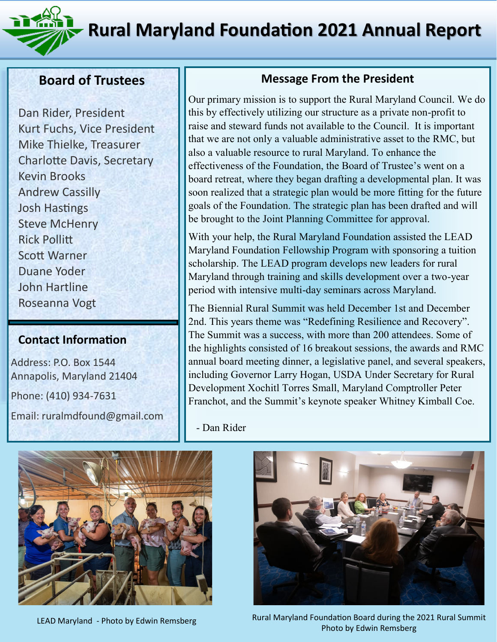**Rural Maryland Foundation 2021 Annual Report**



#### **Board of Trustees**

Dan Rider, President Kurt Fuchs, Vice President Mike Thielke, Treasurer Charlotte Davis, Secretary Kevin Brooks Andrew Cassilly Josh Hastings Steve McHenry Rick Pollitt Scott Warner Duane Yoder John Hartline Roseanna Vogt

#### **Contact Information**

Address: P.O. Box 1544 Annapolis, Maryland 21404 Phone: (410) 934-7631 Email: ruralmdfound@gmail.com

### **Message From the President**

Our primary mission is to support the Rural Maryland Council. We do this by effectively utilizing our structure as a private non-profit to raise and steward funds not available to the Council. It is important that we are not only a valuable administrative asset to the RMC, but also a valuable resource to rural Maryland. To enhance the effectiveness of the Foundation, the Board of Trustee's went on a board retreat, where they began drafting a developmental plan. It was soon realized that a strategic plan would be more fitting for the future goals of the Foundation. The strategic plan has been drafted and will be brought to the Joint Planning Committee for approval.

With your help, the Rural Maryland Foundation assisted the LEAD Maryland Foundation Fellowship Program with sponsoring a tuition scholarship. The LEAD program develops new leaders for rural Maryland through training and skills development over a two-year period with intensive multi-day seminars across Maryland.

The Biennial Rural Summit was held December 1st and December 2nd. This years theme was "Redefining Resilience and Recovery". The Summit was a success, with more than 200 attendees. Some of the highlights consisted of 16 breakout sessions, the awards and RMC annual board meeting dinner, a legislative panel, and several speakers, including Governor Larry Hogan, USDA Under Secretary for Rural Development Xochitl Torres Small, Maryland Comptroller Peter Franchot, and the Summit's keynote speaker Whitney Kimball Coe.

- Dan Rider





LEAD Maryland - Photo by Edwin Remsberg Rural Maryland Foundation Board during the 2021 Rural Summit Photo by Edwin Remsberg